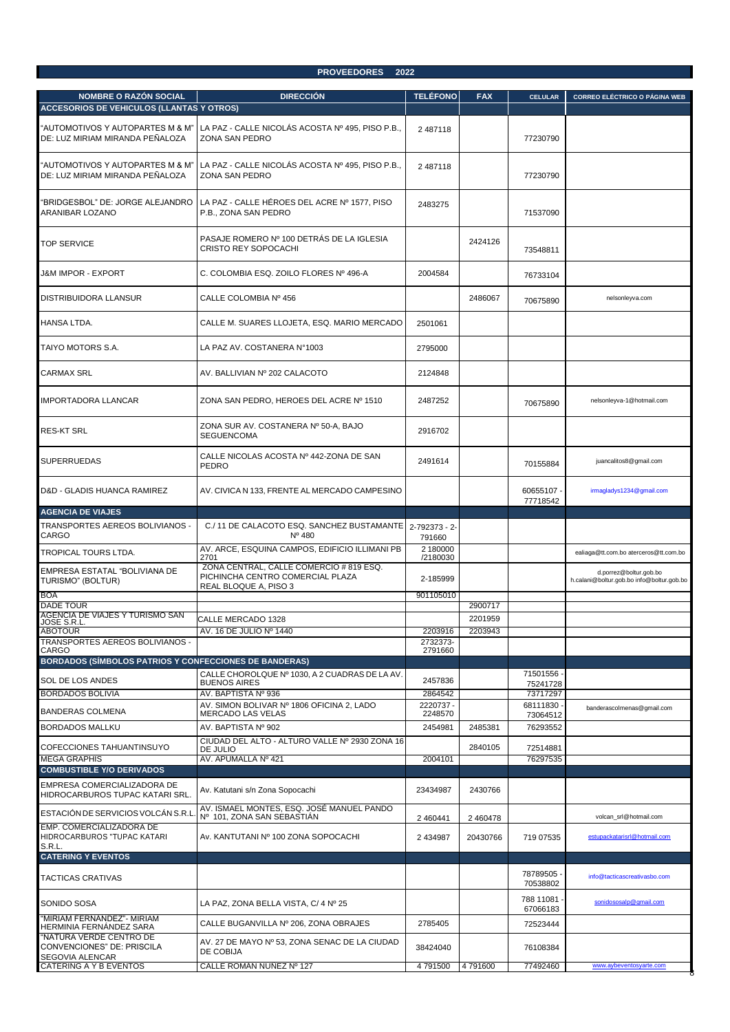## **PROVEEDORES 2022**

| <b>NOMBRE O RAZÓN SOCIAL</b>                                                  | <b>DIRECCIÓN</b>                                                                                     | <b>TELÉFONO</b>         | <b>FAX</b>         | <b>CELULAR</b>        | <b>CORREO ELÉCTRICO O PÁGINA WEB</b>                                |
|-------------------------------------------------------------------------------|------------------------------------------------------------------------------------------------------|-------------------------|--------------------|-----------------------|---------------------------------------------------------------------|
| <b>ACCESORIOS DE VEHICULOS (LLANTAS Y OTROS)</b>                              |                                                                                                      |                         |                    |                       |                                                                     |
| 'AUTOMOTIVOS Y AUTOPARTES M & M"<br>DE: LUZ MIRIAM MIRANDA PEÑALOZA           | LA PAZ - CALLE NICOLÁS ACOSTA Nº 495, PISO P.B.,<br>ZONA SAN PEDRO                                   | 2 487118                |                    | 77230790              |                                                                     |
| 'AUTOMOTIVOS Y AUTOPARTES M & M"<br>DE: LUZ MIRIAM MIRANDA PEÑALOZA           | LA PAZ - CALLE NICOLÁS ACOSTA Nº 495, PISO P.B.,<br>ZONA SAN PEDRO                                   | 2 487118                |                    | 77230790              |                                                                     |
| 'BRIDGESBOL" DE: JORGE ALEJANDRO<br>ARANIBAR LOZANO                           | LA PAZ - CALLE HÉROES DEL ACRE Nº 1577, PISO<br>P.B., ZONA SAN PEDRO                                 | 2483275                 |                    | 71537090              |                                                                     |
| <b>TOP SERVICE</b>                                                            | PASAJE ROMERO Nº 100 DETRÁS DE LA IGLESIA<br>CRISTO REY SOPOCACHI                                    |                         | 2424126            | 73548811              |                                                                     |
| J&M IMPOR - EXPORT                                                            | C. COLOMBIA ESQ. ZOILO FLORES Nº 496-A                                                               | 2004584                 |                    | 76733104              |                                                                     |
| DISTRIBUIDORA LLANSUR                                                         | CALLE COLOMBIA Nº 456                                                                                |                         | 2486067            | 70675890              | nelsonleyva.com                                                     |
| HANSA LTDA.                                                                   | CALLE M. SUARES LLOJETA, ESQ. MARIO MERCADO                                                          | 2501061                 |                    |                       |                                                                     |
| TAIYO MOTORS S.A.                                                             | LA PAZ AV. COSTANERA N°1003                                                                          | 2795000                 |                    |                       |                                                                     |
| <b>CARMAX SRL</b>                                                             | AV. BALLIVIAN Nº 202 CALACOTO                                                                        | 2124848                 |                    |                       |                                                                     |
| <b>IMPORTADORA LLANCAR</b>                                                    | ZONA SAN PEDRO, HEROES DEL ACRE Nº 1510                                                              | 2487252                 |                    | 70675890              | nelsonleyva-1@hotmail.com                                           |
| <b>RES-KT SRL</b>                                                             | ZONA SUR AV. COSTANERA Nº 50-A, BAJO<br><b>SEGUENCOMA</b>                                            | 2916702                 |                    |                       |                                                                     |
| <b>SUPERRUEDAS</b>                                                            | CALLE NICOLAS ACOSTA Nº 442-ZONA DE SAN<br>PEDRO                                                     | 2491614                 |                    | 70155884              | juancalitos8@gmail.com                                              |
| D&D - GLADIS HUANCA RAMIREZ                                                   | AV. CIVICA N 133, FRENTE AL MERCADO CAMPESINO                                                        |                         |                    | 60655107<br>77718542  | irmagladys1234@gmail.com                                            |
| <b>AGENCIA DE VIAJES</b>                                                      |                                                                                                      |                         |                    |                       |                                                                     |
| TRANSPORTES AEREOS BOLIVIANOS -<br>CARGO                                      | C./11 DE CALACOTO ESQ. SANCHEZ BUSTAMANTE<br>$N^{\circ}$ 480                                         | 2-792373 - 2-<br>791660 |                    |                       |                                                                     |
| TROPICAL TOURS LTDA.                                                          | AV. ARCE, ESQUINA CAMPOS, EDIFICIO ILLIMANI PB<br>2701                                               | 2 180000<br>/2180030    |                    |                       | ealiaga@tt.com.bo aterceros@tt.com.bo                               |
| EMPRESA ESTATAL "BOLIVIANA DE<br>TURISMO" (BOLTUR)                            | ZONA CENTRAL, CALLE COMERCIO # 819 ESQ.<br>PICHINCHA CENTRO COMERCIAL PLAZA<br>REAL BLOQUE A, PISO 3 | 2-185999                |                    |                       | d.porrez@boltur.gob.bo<br>h.calani@boltur.gob.bo info@boltur.gob.bo |
| <b>BOA</b>                                                                    |                                                                                                      | 901105010               |                    |                       |                                                                     |
| <b>DADE TOUR</b><br>AGENCIA DE VIAJES Y TURISMO SAN                           |                                                                                                      |                         | 2900717<br>2201959 |                       |                                                                     |
| JOSE S.R.L.<br>JOSE S.R.L<br>ABOTOUR                                          | CALLE MERCADO 1328<br>AV. 16 DE JULIO Nº 1440                                                        | 2203916                 | 2203943            |                       |                                                                     |
| TRANSPORTES AEREOS BOLIVIANOS -                                               |                                                                                                      | 2732373-                |                    |                       |                                                                     |
| <b>CARGO</b><br><b>BORDADOS (SÍMBOLOS PATRIOS Y CONFECCIONES DE BANDERAS)</b> |                                                                                                      | 2791660                 |                    |                       |                                                                     |
|                                                                               | CALLE CHOROLQUE Nº 1030, A 2 CUADRAS DE LA AV.                                                       |                         |                    | 71501556              |                                                                     |
| <b>SOL DE LOS ANDES</b>                                                       | <b>BUENOS AIRES</b>                                                                                  | 2457836                 |                    | 75241728              |                                                                     |
| <b>BORDADOS BOLIVIA</b>                                                       | AV. BAPTISTA Nº 936<br>AV. SIMON BOLIVAR Nº 1806 OFICINA 2, LADO                                     | 2864542<br>2220737 -    |                    | 73717297<br>68111830  |                                                                     |
| <b>BANDERAS COLMENA</b>                                                       | MERCADO LAS VELAS                                                                                    | 2248570                 |                    | 73064512              | banderascolmenas@gmail.com                                          |
| <b>BORDADOS MALLKU</b>                                                        | AV. BAPTISTA Nº 902                                                                                  | 2454981                 | 2485381            | 76293552              |                                                                     |
| COFECCIONES TAHUANTINSUYO                                                     | CIUDAD DEL ALTO - ALTURO VALLE Nº 2930 ZONA 16<br>DE JULIO                                           |                         | 2840105            | 72514881              |                                                                     |
| <b>MEGA GRAPHIS</b>                                                           | AV. APUMALLA Nº 421                                                                                  | 2004101                 |                    | 76297535              |                                                                     |
| <b>COMBUSTIBLE Y/O DERIVADOS</b>                                              |                                                                                                      |                         |                    |                       |                                                                     |
| EMPRESA COMERCIALIZADORA DE<br>HIDROCARBUROS TUPAC KATARI SRL.                | Av. Katutani s/n Zona Sopocachi                                                                      | 23434987                | 2430766            |                       |                                                                     |
| ESTACIÓN DE SERVICIOS VOLCÁN S.R.L                                            | AV. ISMAEL MONTES, ESQ. JOSÉ MANUEL PANDO<br>Nº 101, ZONA SAN SEBASTIAN                              | 2 460441                | 2 460478           |                       | volcan srl@hotmail.com                                              |
| EMP. COMERCIALIZADORA DE<br>HIDROCARBUROS "TUPAC KATARI<br>S.R.L.             | Av. KANTUTANI Nº 100 ZONA SOPOCACHI                                                                  | 2 434987                | 20430766           | 719 07535             | estupackatarisrl@hotmail.com                                        |
| <b>CATERING Y EVENTOS</b>                                                     |                                                                                                      |                         |                    |                       |                                                                     |
| <b>TACTICAS CRATIVAS</b>                                                      |                                                                                                      |                         |                    | 78789505<br>70538802  | info@tacticascreativasbo.com                                        |
| SONIDO SOSA                                                                   | LA PAZ, ZONA BELLA VISTA, C/ 4 Nº 25                                                                 |                         |                    | 788 11081<br>67066183 | sonidososalp@gmail.com                                              |
| 'MIRIAM FERNÁNDEZ"- MIRIAM<br>HERMINIA FERNANDEZ SARA                         | CALLE BUGANVILLA Nº 206, ZONA OBRAJES                                                                | 2785405                 |                    | 72523444              |                                                                     |
| NATURA VERDE CENTRO DE<br>CONVENCIONES" DE: PRISCILA<br>SEGOVIA ALENCAR       | AV. 27 DE MAYO Nº 53, ZONA SENAC DE LA CIUDAD<br>DE COBIJA                                           | 38424040                |                    | 76108384              |                                                                     |
| <b>CATERING A Y B EVENTOS</b>                                                 | CALLE ROMAN NUNEZ Nº 127                                                                             | 4791500                 | 4791600            | 77492460              | www.aybeventosyarte.com                                             |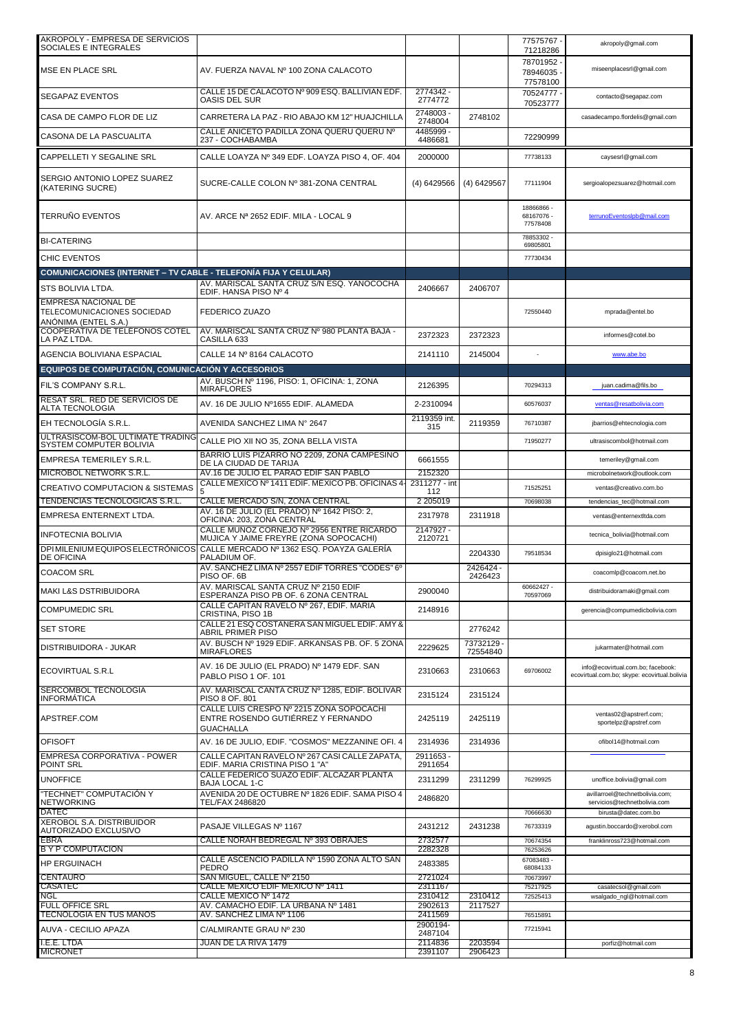| AKROPOLY - EMPRESA DE SERVICIOS<br>SOCIALES E INTEGRALES                          |                                                                                                    |                      |                      | 77575767 -<br>71218286             | akropoly@gmail.com                                                                |
|-----------------------------------------------------------------------------------|----------------------------------------------------------------------------------------------------|----------------------|----------------------|------------------------------------|-----------------------------------------------------------------------------------|
| MSE EN PLACE SRL                                                                  | AV. FUERZA NAVAL Nº 100 ZONA CALACOTO                                                              |                      |                      | 78701952<br>78946035<br>77578100   | miseenplacesrl@gmail.com                                                          |
| <b>SEGAPAZ EVENTOS</b>                                                            | CALLE 15 DE CALACOTO Nº 909 ESQ. BALLIVIAN EDF.<br><b>OASIS DEL SUR</b>                            | 2774342 -<br>2774772 |                      | 70524777<br>70523777               | contacto@segapaz.com                                                              |
| CASA DE CAMPO FLOR DE LIZ                                                         | CARRETERA LA PAZ - RIO ABAJO KM 12" HUAJCHILLA                                                     | 2748003-<br>2748004  | 2748102              |                                    | casadecampo.flordelis@gmail.com                                                   |
| CASONA DE LA PASCUALITA                                                           | CALLE ANICETO PADILLA ZONA QUERU QUERU Nº<br>237 - COCHABAMBA                                      | 4485999 -<br>4486681 |                      | 72290999                           |                                                                                   |
| CAPPELLETI Y SEGALINE SRL                                                         | CALLE LOAYZA Nº 349 EDF. LOAYZA PISO 4, OF. 404                                                    | 2000000              |                      | 77738133                           | caysesrl@gmail.com                                                                |
| SERGIO ANTONIO LOPEZ SUAREZ<br>(KATERING SUCRE)                                   | SUCRE-CALLE COLON Nº 381-ZONA CENTRAL                                                              | (4) 6429566          | $(4)$ 6429567        | 77111904                           | sergioalopezsuarez@hotmail.com                                                    |
| <b>TERRUNO EVENTOS</b>                                                            | AV. ARCE Nª 2652 EDIF. MILA - LOCAL 9                                                              |                      |                      | 18866866-<br>68167076-<br>77578408 | terrunoEventoslpb@mail.com                                                        |
| <b>BI-CATERING</b>                                                                |                                                                                                    |                      |                      | 78853302<br>69805801               |                                                                                   |
| CHIC EVENTOS                                                                      |                                                                                                    |                      |                      | 77730434                           |                                                                                   |
| <b>COMUNICACIONES (INTERNET – TV CABLE - TELEFONIA FIJA Y CELULAR)</b>            |                                                                                                    |                      |                      |                                    |                                                                                   |
| <b>STS BOLIVIA LTDA.</b>                                                          | AV. MARISCAL SANTA CRUZ S/N ESQ. YANOCOCHA<br>EDIF. HANSA PISO Nº 4                                | 2406667              | 2406707              |                                    |                                                                                   |
| <b>EMPRESA NACIONAL DE</b><br>TELECOMUNICACIONES SOCIEDAD<br>ANÓNIMA (ENTEL S.A.) | <b>FEDERICO ZUAZO</b>                                                                              |                      |                      | 72550440                           | mprada@entel.bo                                                                   |
| <b>COOPERATIVA DE TELÉFONOS COTEL</b><br>LA PAZ LTDA.                             | AV. MARISCAL SANTA CRUZ Nº 980 PLANTA BAJA -<br>CASILLA 633                                        | 2372323              | 2372323              |                                    | informes@cotel.bo                                                                 |
| AGENCIA BOLIVIANA ESPACIAL                                                        | CALLE 14 Nº 8164 CALACOTO                                                                          | 2141110              | 2145004              |                                    | www.abe.bo                                                                        |
| EQUIPOS DE COMPUTACIÓN, COMUNICACIÓN Y ACCESORIOS                                 |                                                                                                    |                      |                      |                                    |                                                                                   |
| FIL'S COMPANY S.R.L.                                                              | AV. BUSCH Nº 1196. PISO: 1. OFICINA: 1. ZONA<br><b>MIRAFLORES</b>                                  | 2126395              |                      | 70294313                           | juan.cadima@fils.bo                                                               |
| RESAT SRL. RED DE SERVICIOS DE<br>ALTA TECNOLOGIA                                 | AV. 16 DE JULIO Nº1655 EDIF. ALAMEDA                                                               | 2-2310094            |                      | 60576037                           | ventas@resatbolivia.com                                                           |
| EH TECNOLOGÍA S.R.L.                                                              | AVENIDA SANCHEZ LIMA Nº 2647                                                                       | 2119359 int.<br>315  | 2119359              | 76710387                           | jbarrios@ehtecnologia.com                                                         |
| ULTRASISCOM-BOL ULTIMATE TRADING<br>SYSTEM COMPUTER BOLIVIA                       | CALLE PIO XII NO 35, ZONA BELLA VISTA                                                              |                      |                      | 71950277                           | ultrasiscombol@hotmail.com                                                        |
| EMPRESA TEMERILEY S.R.L.                                                          | BARRIO LUIS PIZARRO NO 2209, ZONA CAMPESINO<br>DE LA CIUDAD DE TARIJA                              | 6661555              |                      |                                    | temeriley@gmail.com                                                               |
| MICROBOL NETWORK S.R.L.                                                           | AV.16 DE JULIO EL PARAO EDIF SAN PABLO                                                             | 2152320              |                      |                                    | microbolnetwork@outlook.com                                                       |
| CREATIVO COMPUTACION & SISTEMAS                                                   | CALLE MÉXICO Nº 1411 EDIF. MÉXICO PB. OFICINAS 4-                                                  | 2311277 - int<br>112 |                      | 71525251                           | ventas@creativo.com.bo                                                            |
| TENDENCIAS TECNOLOGICAS S.R.L.                                                    | CALLE MERCADO S/N, ZONA CENTRAL<br>AV. 16 DE JULIO (EL PRADO) Nº 1642 PISO: 2.                     | 2 205019             |                      | 70698038                           | tendencias_tec@hotmail.com                                                        |
| EMPRESA ENTERNEXT LTDA.                                                           | OFICINA: 203, ZONA CENTRAL<br>CALLE MUNOZ CORNEJO Nº 2956 ENTRE RICARDO                            | 2317978<br>2147927 - | 2311918              |                                    | ventas@enternextltda.com                                                          |
| <b>INFOTECNIA BOLIVIA</b><br><b>DPI MILENIUM EQUIPOS ELECTRÓNICOS</b>             | MUJICA Y JAIME FREYRE (ZONA SOPOCACHI)<br>CALLE MERCADO Nº 1362 ESQ. POAYZA GALERÍA                | 2120721              |                      |                                    | tecnica_bolivia@hotmail.com                                                       |
| <b>DE OFICINA</b>                                                                 | PALADIUM OF.<br>AV. SANCHEZ LIMA Nº 2557 EDIF TORRES "CODES" 6º                                    |                      | 2204330<br>2426424 - | 79518534                           | dpisiglo21@hotmail.com                                                            |
| COACOM SRL                                                                        | PISO OF, 6B<br>AV. MARISCAL SANTA CRUZ Nº 2150 EDIF                                                |                      | 2426423              | 60662427 -                         | coacomlp@coacom.net.bo                                                            |
| MAKI L&S DSTRIBUIDORA                                                             | ESPERANZA PISO PB OF. 6 ZONA CENTRAL<br>CALLE CAPITAN RAVELO Nº 267, EDIF. MARIA                   | 2900040              |                      | 70597069                           | distribuidoramaki@gmail.com                                                       |
| <b>COMPUMEDIC SRL</b>                                                             | CRISTINA, PISO 1B                                                                                  | 2148916              |                      |                                    | gerencia@compumedicbolivia.com                                                    |
| <b>SET STORE</b>                                                                  | CALLE 21 ESQ COSTANERA SAN MIGUEL EDIF. AMY &<br><b>ABRIL PRIMER PISO</b>                          |                      | 2776242              |                                    |                                                                                   |
| DISTRIBUIDORA - JUKAR                                                             | AV. BUSCH Nº 1929 EDIF. ARKANSAS PB. OF. 5 ZONA<br><b>MIRAFLORES</b>                               | 2229625              | 73732129<br>72554840 |                                    | jukarmater@hotmail.com                                                            |
| <b>ECOVIRTUAL S.R.L</b>                                                           | AV. 16 DE JULIO (EL PRADO) Nº 1479 EDF. SAN<br>PABLO PISO 1 OF. 101                                | 2310663              | 2310663              | 69706002                           | info@ecovirtual.com.bo; facebook:<br>ecovirtual.com.bo; skype: ecovirtual.bolivia |
| SERCOMBOL TECNOLOGÍA<br><b>INFORMATICA</b>                                        | AV. MARISCAL CANTA CRUZ Nº 1285, EDIF. BOLÍVAR<br>PISO 8 OF. 801                                   | 2315124              | 2315124              |                                    |                                                                                   |
| APSTREF.COM                                                                       | CALLE LUIS CRESPO Nº 2215 ZONA SOPOCACHI<br>ENTRE ROSENDO GUTIÉRREZ Y FERNANDO<br><b>GUACHALLA</b> | 2425119              | 2425119              |                                    | ventas02@apstrerf.com;<br>sportelpz@apstref.com                                   |
| <b>OFISOFT</b>                                                                    | AV. 16 DE JULIO, EDIF. "COSMOS" MEZZANINE OFI. 4                                                   | 2314936              | 2314936              |                                    | ofibol14@hotmail.com                                                              |
| EMPRESA CORPORATIVA - POWER<br>POINT SRL                                          | CALLE CAPITAN RAVELO Nº 267 CASI CALLE ZAPATA,<br>EDIF. MARIA CRISTINA PISO 1 "A"                  | 2911653 -<br>2911654 |                      |                                    |                                                                                   |
| <b>UNOFFICE</b>                                                                   | CALLE FEDERICO SUAZO EDIF. ALCAZAR PLANTA<br>BAJA LOCAL 1-C                                        | 2311299              | 2311299              | 76299925                           | unoffice.bolivia@gmail.com                                                        |
| 'TECHNET" COMPUTACIÓN Y<br><b>NETWORKING</b>                                      | AVENIDA 20 DE OCTUBRE Nº 1826 EDIF. SAMA PISO 4<br>TEL/FAX 2486820                                 | 2486820              |                      |                                    | avillarroel@technetbolivia.com;<br>servicios@technetbolivia.com                   |
| <b>DATEC</b>                                                                      |                                                                                                    |                      |                      | 70666630                           | birusta@datec.com.bo                                                              |
| XEROBOL S.A. DISTRIBUIDOR<br>AUTORIZADO EXCLUSIVO<br><b>EBRA</b>                  | PASAJE VILLEGAS Nº 1167<br>CALLE NORAH BEDREGAL Nº 393 OBRAJES                                     | 2431212<br>2732577   | 2431238              | 76733319<br>70674354               | agustin.boccardo@xerobol.com<br>franklinross723@hotmail.com                       |
| <b>BY P COMPUTACION</b>                                                           |                                                                                                    | 2282328              |                      | 76253626                           |                                                                                   |
| <b>HP ERGUINACH</b>                                                               | CALLE ASCENCIO PADILLA Nº 1590 ZONA ALTO SAN<br><b>PEDRO</b>                                       | 2483385              |                      | 67083483-<br>68084133              |                                                                                   |
| <b>CENTAURO</b><br><b>CASATEC</b>                                                 | SAN MIGUEL, CALLE Nº 2150<br>CALLE MEXICO EDIF MEXICO Nº 1411                                      | 2721024<br>2311167   |                      | 70673997<br>75217925               | casatecsol@gmail.com                                                              |
| <b>NGL</b>                                                                        | CALLE MEXICO Nº 1472                                                                               | 2310412              | 2310412              | 72525413                           | wsalgado_ngl@hotmail.com                                                          |
| FULL OFFICE SRL<br>TECNOLOGIA EN TUS MANOS                                        | AV. CAMACHO EDIF. LA URBANA Nº 1481<br>AV. SANCHEZ LIMA Nº 1106                                    | 2902613<br>2411569   | 2117527              | 76515891                           |                                                                                   |
| AUVA - CECILIO APAZA                                                              | C/ALMIRANTE GRAU Nº 230                                                                            | 2900194-<br>2487104  |                      | 77215941                           |                                                                                   |
| I.E.E. LTDA<br><b>MICRONET</b>                                                    | JUAN DE LA RIVA 1479                                                                               | 2114836<br>2391107   | 2203594<br>2906423   |                                    | porfiz@hotmail.com                                                                |
|                                                                                   |                                                                                                    |                      |                      |                                    |                                                                                   |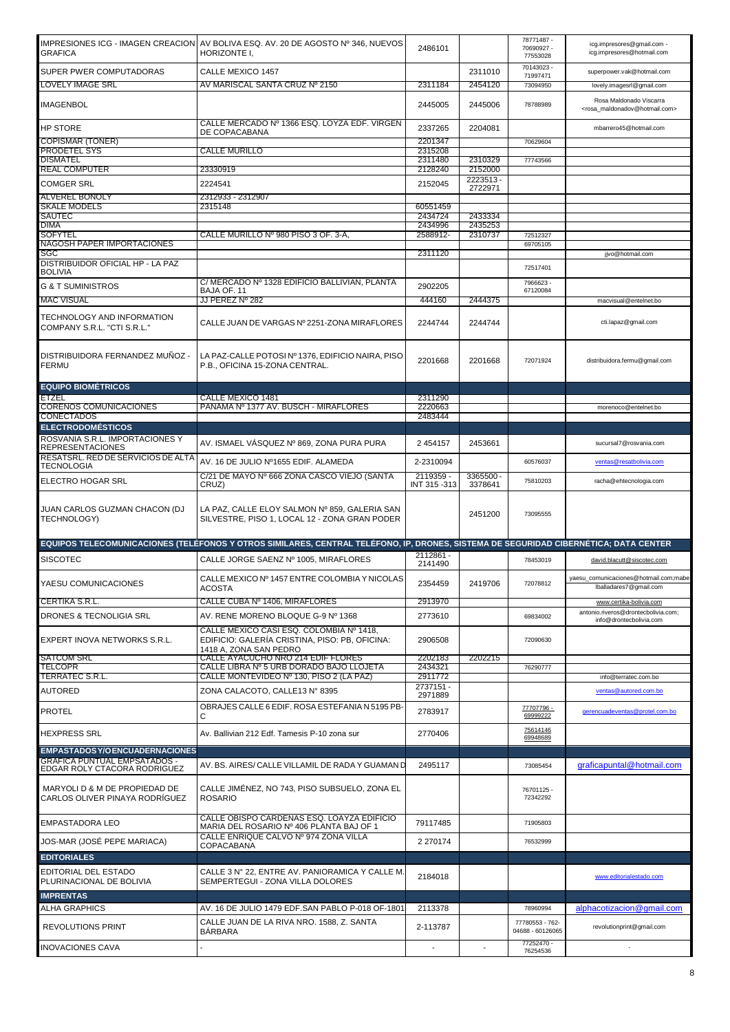| <b>GRAFICA</b>                                                  | IMPRESIONES ICG - IMAGEN CREACION   AV BOLIVA ESQ. AV. 20 DE AGOSTO № 346, NUEVOS<br>HORIZONTE I,                                    | 2486101                  |                      | 78771487 -<br>70690927 -<br>77553028       | icg.impresores@gmail.com -<br>icg.impresores@hotmail.com                               |
|-----------------------------------------------------------------|--------------------------------------------------------------------------------------------------------------------------------------|--------------------------|----------------------|--------------------------------------------|----------------------------------------------------------------------------------------|
| SUPER PWER COMPUTADORAS                                         | CALLE MEXICO 1457                                                                                                                    |                          | 2311010              | 70143023 -                                 | superpower.vak@hotmail.com                                                             |
| LOVELY IMAGE SRL                                                | AV MARISCAL SANTA CRUZ № 2150                                                                                                        | 2311184                  | 2454120              | 71997471<br>73094950                       | lovely.imagesrl@gmail.com                                                              |
| <b>IMAGENBOL</b>                                                |                                                                                                                                      | 2445005                  | 2445006              | 78788989                                   | Rosa Maldonado Viscarra<br><rosa_maldonadov@hotmail.com></rosa_maldonadov@hotmail.com> |
| <b>HP STORE</b>                                                 | CALLE MERCADO Nº 1366 ESQ. LOYZA EDF. VIRGEN<br>DE COPACABANA                                                                        | 2337265                  | 2204081              |                                            | mbarrero45@hotmail.com                                                                 |
| COPISMAR (TONER)                                                |                                                                                                                                      | 2201347                  |                      | 70629604                                   |                                                                                        |
| PRODETEL SYS<br>DISMATEL                                        | <b>CALLE MURILLO</b>                                                                                                                 | 2315208<br>2311480       | 2310329              | 77743566                                   |                                                                                        |
| <b>REAL COMPUTER</b>                                            | 23330919                                                                                                                             | 2128240                  | 2152000              |                                            |                                                                                        |
| <b>COMGER SRL</b>                                               | 2224541                                                                                                                              | 2152045                  | 2223513-<br>2722971  |                                            |                                                                                        |
| <b>ALVEREL BONOLY</b>                                           | 2312933 - 2312907                                                                                                                    |                          |                      |                                            |                                                                                        |
| <b>SKALE MODELS</b>                                             | 2315148                                                                                                                              | 60551459                 |                      |                                            |                                                                                        |
| SAUTEC<br>DIMA                                                  |                                                                                                                                      | 2434724<br>2434996       | 2433334<br>2435253   |                                            |                                                                                        |
| <b>SOFYTEL</b>                                                  | CALLE MURILLO Nº 980 PISO 3 OF. 3-A.                                                                                                 | 2588912-                 | 2310737              | 72512327                                   |                                                                                        |
| NAGOSH PAPER IMPORTACIONES<br>SGC                               |                                                                                                                                      | 2311120                  |                      | 69705105                                   | jjvo@hotmail.com                                                                       |
| DISTRIBUIDOR OFICIAL HP - LA PAZ<br><b>BOLIVIA</b>              |                                                                                                                                      |                          |                      | 72517401                                   |                                                                                        |
| <b>G &amp; T SUMINISTROS</b>                                    | C/ MERCADO Nº 1328 EDIFICIO BALLIVIAN, PLANTA                                                                                        | 2902205                  |                      | 7966623 -                                  |                                                                                        |
| <b>MAC VISUAL</b>                                               | BAJA OF, 11<br>JJ PEREZ Nº 282                                                                                                       | 444160                   | 2444375              | 67120084                                   | macvisual@entelnet.bo                                                                  |
| TECHNOLOGY AND INFORMATION<br>COMPANY S.R.L. "CTI S.R.L."       | CALLE JUAN DE VARGAS Nº 2251-ZONA MIRAFLORES                                                                                         | 2244744                  | 2244744              |                                            | cti.lapaz@gmail.com                                                                    |
| DISTRIBUIDORA FERNANDEZ MUÑOZ -<br><b>FERMU</b>                 | LA PAZ-CALLE POTOSI Nº 1376, EDIFICIO NAIRA, PISO<br>P.B., OFICINA 15-ZONA CENTRAL.                                                  | 2201668                  | 2201668              | 72071924                                   | distribuidora.fermu@gmail.com                                                          |
| <b>EQUIPO BIOMÉTRICOS</b>                                       |                                                                                                                                      |                          |                      |                                            |                                                                                        |
| ETZEL<br><b>CORENOS COMUNICACIONES</b>                          | CALLE MEXICO 1481<br>PANAMA Nº 1377 AV. BUSCH - MIRAFLORES                                                                           | 2311290<br>2220663       |                      |                                            |                                                                                        |
| CONECTADOS                                                      |                                                                                                                                      | 2483444                  |                      |                                            | morenoco@entelnet.bo                                                                   |
| <b>ELECTRODOMÉSTICOS</b>                                        |                                                                                                                                      |                          |                      |                                            |                                                                                        |
| ROSVANIA S.R.L. IMPORTACIONES Y                                 | AV. ISMAEL VÁSQUEZ Nº 869, ZONA PURA PURA                                                                                            | 2 4 5 4 1 5 7            | 2453661              |                                            | sucursal7@rosvania.com                                                                 |
| <b>REPRESENTACIONES</b><br>RESATSRL. RED DE SERVICIOS DE ALTA   |                                                                                                                                      |                          |                      |                                            |                                                                                        |
| TECNOLOGIA                                                      | AV. 16 DE JULIO Nº1655 EDIF. ALAMEDA                                                                                                 | 2-2310094                |                      | 60576037                                   | ventas@resatbolivia.com                                                                |
| ELECTRO HOGAR SRL                                               | C/21 DE MAYO Nº 666 ZONA CASCO VIEJO (SANTA<br>CRUZ)                                                                                 | 2119359 -<br>INT 315-313 | 3365500 -<br>3378641 | 75810203                                   | racha@ehtecnologia.com                                                                 |
|                                                                 |                                                                                                                                      |                          |                      |                                            |                                                                                        |
| JUAN CARLOS GUZMAN CHACON (DJ<br>TECHNOLOGY)                    | LA PAZ, CALLE ELOY SALMON Nº 859, GALERIA SAN<br>SILVESTRE, PISO 1, LOCAL 12 - ZONA GRAN PODER                                       |                          | 2451200              | 73095555                                   |                                                                                        |
|                                                                 | EQUIPOS TELECOMUNICACIONES (TELÉFONOS Y OTROS SIMILARES, CENTRAL TELÉFONO, IP, DRONES, SISTEMA DE SEGURIDAD CIBERNÉTICA; DATA CENTER |                          |                      |                                            |                                                                                        |
|                                                                 |                                                                                                                                      | 2112861 -                |                      |                                            |                                                                                        |
| <b>SISCOTEC</b><br>YAESU COMUNICACIONES                         | CALLE JORGE SAENZ Nº 1005, MIRAFLORES<br>CALLE MEXICO Nº 1457 ENTRE COLOMBIA Y NICOLAS                                               | 2141490<br>2354459       | 2419706              | 78453019<br>72078812                       | david.blacutt@siscotec.com<br>yaesu_comunicaciones@hotmail.com;mabe                    |
|                                                                 | ACOSTA                                                                                                                               |                          |                      |                                            | Iballadares7@gmail.com                                                                 |
| CERTIKA S.R.L.                                                  | CALLE CUBA Nº 1406, MIRAFLORES                                                                                                       | 2913970                  |                      |                                            | www.certika-bolivia.com<br>antonio.riveros@drontecbolivia.com;                         |
| <b>DRONES &amp; TECNOLIGIA SRL</b>                              | AV. RENE MORENO BLOQUE G-9 Nº 1368<br>CALLE MÉXICO CASI ESQ. COLOMBIA Nº 1418.                                                       | 2773610                  |                      | 69834002                                   | info@drontecbolivia.com                                                                |
| EXPERT INOVA NETWORKS S.R.L.                                    | EDIFICIO: GALERÍA CRISTINA, PISO: PB, OFICINA:<br>1418 A, ZONA SAN PEDRO                                                             | 2906508                  |                      | 72090630                                   |                                                                                        |
| SATCOM SRL<br>TELCOPR                                           | CALLE AYACUCHO NRO 214 EDIF FLORES<br>CALLE LIBRA Nº 5 URB DORADO BAJO LLOJETA                                                       | 2202183<br>2434321       | 2202215              | 76290777                                   |                                                                                        |
| <u>TERRATEC S.R.L.</u>                                          | CALLE MONTEVIDEO Nº 130, PISO 2 (LA PAZ)                                                                                             | 2911772                  |                      |                                            | info@terratec.com.bo                                                                   |
| <b>AUTORED</b>                                                  | ZONA CALACOTO, CALLE13 Nº 8395                                                                                                       | 2737151-<br>2971889      |                      |                                            | ventas@autored.com.bo                                                                  |
| PROTEL                                                          | OBRAJES CALLE 6 EDIF. ROSA ESTEFANIA N 5195 PB-<br>С                                                                                 | 2783917                  |                      | 77707796 -<br>69999222                     | gerencuadeventas@protel.com.bo                                                         |
| <b>HEXPRESS SRL</b>                                             | Av. Ballivian 212 Edf. Tamesis P-10 zona sur                                                                                         | 2770406                  |                      | 75614146<br>69948689                       |                                                                                        |
| <b>EMPASTADOS Y/O ENCUADERNACIONES</b>                          |                                                                                                                                      |                          |                      |                                            |                                                                                        |
|                                                                 | AV. BS. AIRES/ CALLE VILLAMIL DE RADA Y GUAMAN D                                                                                     | 2495117                  |                      | 73085454                                   | graficapuntal@hotmail.com                                                              |
| GRAFICA PUNTUAL EMPSATADOS -<br>EDGAR ROLY CTACORA RODRIGUEZ    |                                                                                                                                      |                          |                      |                                            |                                                                                        |
| MARYOLI D & M DE PROPIEDAD DE<br>CARLOS OLIVER PINAYA RODRÍGUEZ | CALLE JIMÉNEZ, NO 743, PISO SUBSUELO, ZONA EL<br><b>ROSARIO</b>                                                                      |                          |                      | 76701125 -<br>72342292                     |                                                                                        |
| EMPASTADORA LEO                                                 | CALLE OBISPO CARDENAS ESQ. LOAYZA EDIFICIO<br>MARIA DEL ROSARIO Nº 406 PLANTA BAJ OF 1                                               | 79117485                 |                      | 71905803                                   |                                                                                        |
| JOS-MAR (JOSÉ PEPE MARIACA)                                     | CALLE ENRIQUE CALVO Nº 974 ZONA VILLA                                                                                                | 2 270174                 |                      | 76532999                                   |                                                                                        |
| <b>EDITORIALES</b>                                              | COPACABANA                                                                                                                           |                          |                      |                                            |                                                                                        |
| EDITORIAL DEL ESTADO<br>PLURINACIONAL DE BOLIVIA                | CALLE 3 N° 22, ENTRE AV. PANIORAMICA Y CALLE M.<br>SEMPERTEGUI - ZONA VILLA DOLORES                                                  | 2184018                  |                      |                                            | www.editorialestado.com                                                                |
| <b>IMPRENTAS</b>                                                |                                                                                                                                      |                          |                      |                                            |                                                                                        |
| ALHA GRAPHICS<br><b>REVOLUTIONS PRINT</b>                       | AV. 16 DE JULIO 1479 EDF. SAN PABLO P-018 OF-1801<br>CALLE JUAN DE LA RIVA NRO. 1588, Z. SANTA                                       | 2113378<br>2-113787      |                      | 78960994<br>77780553 - 762-                | alphacotizacion@gmail.com<br>revolutionprint@gmail.com                                 |
| <b>INOVACIONES CAVA</b>                                         | <b>BARBARA</b>                                                                                                                       |                          |                      | 04688 - 60126065<br>77252470 -<br>76254536 |                                                                                        |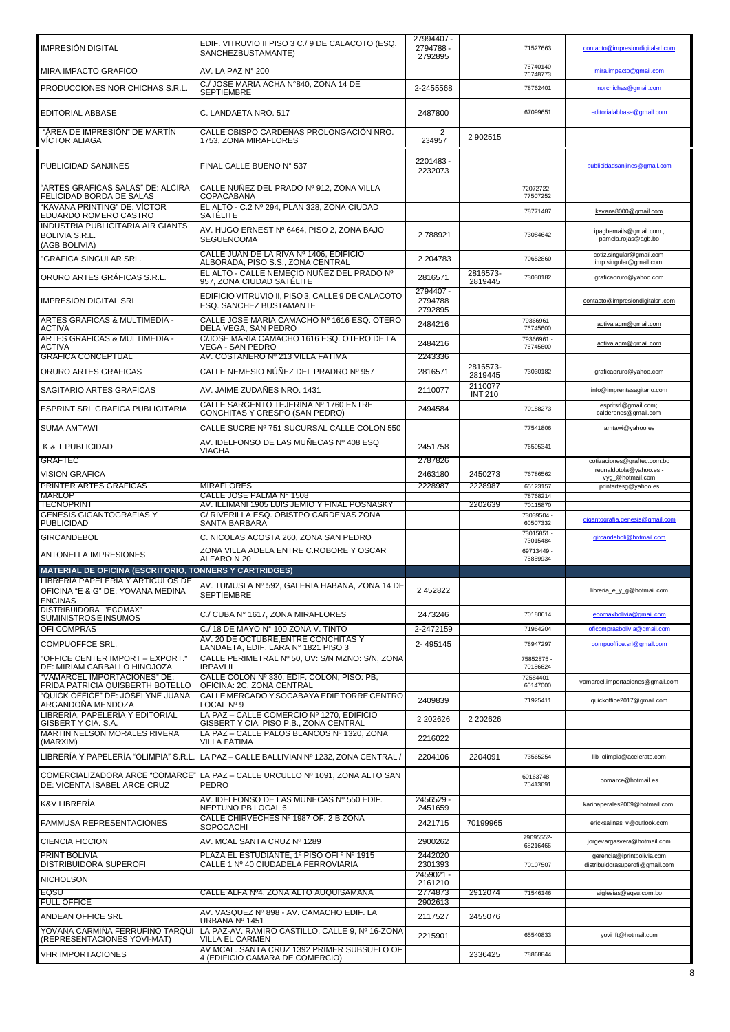|                                                                             |                                                                                                                                             | 27994407 -                      |                           |                        |                                                        |
|-----------------------------------------------------------------------------|---------------------------------------------------------------------------------------------------------------------------------------------|---------------------------------|---------------------------|------------------------|--------------------------------------------------------|
| IMPRESIÓN DIGITAL                                                           | EDIF. VITRUVIO II PISO 3 C./ 9 DE CALACOTO (ESQ.<br>SANCHEZBUSTAMANTE)                                                                      | 2794788 -                       |                           | 71527663               | contacto@impresiondigitalsrl.com                       |
| MIRA IMPACTO GRAFICO                                                        | AV. LA PAZ N° 200                                                                                                                           | 2792895                         |                           | 76740140               | mira.impacto@gmail.com                                 |
|                                                                             | C./ JOSE MARIA ACHA N°840, ZONA 14 DE                                                                                                       |                                 |                           | 76748773               |                                                        |
| PRODUCCIONES NOR CHICHAS S.R.L                                              | <b>SEPTIEMBRE</b>                                                                                                                           | 2-2455568                       |                           | 78762401               | norchichas@gmail.com                                   |
| <b>EDITORIAL ABBASE</b>                                                     | C. LANDAETA NRO. 517                                                                                                                        | 2487800                         |                           | 67099651               | editorialabbase@gmail.com                              |
| "ÁREA DE IMPRESIÓN" DE MARTÍN<br>VICTOR ALIAGA                              | CALLE OBISPO CARDENAS PROLONGACIÓN NRO.<br>1753, ZONA MIRAFLORES                                                                            | 2<br>234957                     | 2 902515                  |                        |                                                        |
| PUBLICIDAD SANJINES                                                         | FINAL CALLE BUENO Nº 537                                                                                                                    | 2201483 -<br>2232073            |                           |                        | publicidadsanjines@gmail.com                           |
| "ARTES GRÁFICAS SALAS" DE: ALCIRA<br>FELICIDAD BORDA DE SALAS               | CALLE NUNEZ DEL PRADO Nº 912, ZONA VILLA<br>COPACABANA                                                                                      |                                 |                           | 72072722-<br>77507252  |                                                        |
| "KAVANA PRINTING" DE: VÍCTOR<br>EDUARDO ROMERO CASTRO                       | EL ALTO - C.2 Nº 294, PLAN 328, ZONA CIUDAD<br><b>SATELITE</b>                                                                              |                                 |                           | 78771487               | kavana8000@gmail.com                                   |
| <b>INDUSTRIA PUBLICITARIA AIR GIANTS</b><br>BOLIVIA S.R.L.<br>(AGB BOLIVIA) | AV. HUGO ERNEST Nº 6464, PISO 2, ZONA BAJO<br><b>SEGUENCOMA</b>                                                                             | 2788921                         |                           | 73084642               | ipagbemails@gmail.com,<br>pamela.rojas@agb.bo          |
| "GRÁFICA SINGULAR SRL.                                                      | CALLE JUAN DE LA RIVA Nº 1406, EDIFICIO<br>ALBORADA, PISO S.S., ZONA CENTRAL                                                                | 2 204783                        |                           | 70652860               | cotiz.singular@gmail.com<br>imp.singular@gmail.com     |
| ORURO ARTES GRÁFICAS S.R.L.                                                 | EL ALTO - CALLE NEMECIO NUÑEZ DEL PRADO Nº<br>957, ZONA CIUDAD SATÉLITE                                                                     | 2816571                         | 2816573-<br>2819445       | 73030182               | graficaoruro@yahoo.com                                 |
| IMPRESIÓN DIGITAL SRL                                                       | EDIFICIO VITRUVIO II. PISO 3. CALLE 9 DE CALACOTO<br>ESQ. SANCHEZ BUSTAMANTE                                                                | 2794407 -<br>2794788<br>2792895 |                           |                        | contacto@impresiondigitalsrl.com                       |
| ARTES GRAFICAS & MULTIMEDIA -<br>ACTIVA                                     | CALLE JOSE MARIA CAMACHO Nº 1616 ESQ. OTERO<br>DELA VEGA, SAN PEDRO                                                                         | 2484216                         |                           | 79366961 -<br>76745600 | activa.agm@gmail.com                                   |
| ARTES GRAFICAS & MULTIMEDIA -<br>ACTIVA                                     | C/JOSE MARIA CAMACHO 1616 ESQ. OTERO DE LA<br>VEGA - SAN PEDRO                                                                              | 2484216                         |                           | 79366961 -<br>76745600 | activa.agm@gmail.com                                   |
| GRAFICA CONCEPTUAL                                                          | AV. COSTANERO № 213 VILLA FATIMA                                                                                                            | 2243336                         | 2816573-                  |                        |                                                        |
| ORURO ARTES GRAFICAS                                                        | CALLE NEMESIO NÚÑEZ DEL PRADRO Nº 957                                                                                                       | 2816571                         | 2819445                   | 73030182               | graficaoruro@yahoo.com                                 |
| SAGITARIO ARTES GRAFICAS                                                    | AV. JAIME ZUDAÑES NRO. 1431                                                                                                                 | 2110077                         | 2110077<br><b>INT 210</b> |                        | info@imprentasagitario.com                             |
| ESPRINT SRL GRAFICA PUBLICITARIA                                            | CALLE SARGENTO TEJERINA Nº 1760 ENTRE<br>CONCHITAS Y CRESPO (SAN PEDRO)                                                                     | 2494584                         |                           | 70188273               | espritsrl@gmail.com;<br>calderones@gmail.com           |
| SUMA AMTAWI                                                                 | CALLE SUCRE Nº 751 SUCURSAL CALLE COLON 550                                                                                                 |                                 |                           | 77541806               | amtawi@yahoo.es                                        |
| K & T PUBLICIDAD                                                            | AV. IDELFONSO DE LAS MUÑECAS Nº 408 ESQ<br>VIACHA                                                                                           | 2451758                         |                           | 76595341               |                                                        |
| <b>GRAFTEC</b><br><b>VISION GRAFICA</b>                                     |                                                                                                                                             | 2787826<br>2463180              | 2450273                   | 76786562               | cotizaciones@graftec.com.bo<br>reunaldotola@yahoo.es - |
| PRINTER ARTES GRAFICAS                                                      | MIRAFLORES                                                                                                                                  | 2228987                         | 2228987                   | 65123157               | vyg_@hotmail.com<br>printartesg@yahoo.es               |
| MARLOP                                                                      | CALLE JOSE PALMA N° 1508                                                                                                                    |                                 |                           | 78768214               |                                                        |
| TECNOPRINT                                                                  | AV. ILLIMANI 1905 LUIS JEMIO Y FINAL POSNASKY                                                                                               |                                 | 2202639                   | 70115870               |                                                        |
| <b>GENESIS GIGANTOGRAFIAS Y</b><br><b>PUBLICIDAD</b>                        | C/ RIVERILLA ESQ. OBISTPO CARDENAS ZONA<br>SANTA BARBARA                                                                                    |                                 |                           | 73039504 -<br>60507332 | gigantografia.genesis@gmail.com                        |
| <b>GIRCANDEBOL</b>                                                          | C. NICOLAS ACOSTA 260, ZONA SAN PEDRO                                                                                                       |                                 |                           | 73015851 -<br>73015484 | gircandeboli@hotmail.com                               |
| ANTONELLA IMPRESIONES                                                       | ZONA VILLA ADELA ENTRE C.ROBORE Y OSCAR<br>ALFARO N 20                                                                                      |                                 |                           | 69713449<br>75859934   |                                                        |
| <b>MATERIAL DE OFICINA (ESCRITORIO, TONNERS Y CARTRIDGES)</b>               |                                                                                                                                             |                                 |                           |                        |                                                        |
| OFICINA "E & G" DE: YOVANA MEDINA<br><b>ENCINAS</b>                         | ILIBRERIA PAPELERIA Y ARTICULOS DE<br>LIBRERIA PAPELERIA Y ARTICULOS DE AV. TUMUSLA Nº 592, GALERIA HABANA, ZONA 14 DE<br><b>SEPTIEMBRE</b> | 2 452822                        |                           |                        | libreria_e_y_g@hotmail.com                             |
| DISTRIBUIDORA "ECOMAX"<br>SUMINISTROS E INSUMOS                             | C./ CUBA Nº 1617, ZONA MIRAFLORES                                                                                                           | 2473246                         |                           | 70180614               | ecomaxbolivia@gmail.com                                |
| OFI COMPRAS                                                                 | C./ 18 DE MAYO N° 100 ZONA V. TINTO                                                                                                         | 2-2472159                       |                           | 71964204               | oficomprasbolivia@gmail.com                            |
| COMPUOFFCE SRL.                                                             | AV. 20 DE OCTUBRE, ENTRE CONCHITAS Y<br>LANDAETA, EDIF. LARA Nº 1821 PISO 3                                                                 | 2-495145                        |                           | 78947297               | compuoffice.srl@gmail.com                              |
| "OFFICE CENTER IMPORT - EXPORT."<br>DE: MIRIAM CARBALLO HINOJOZA            | CALLE PERIMETRAL Nº 50, UV: S/N MZNO: S/N, ZONA<br><b>IRPAVI II</b>                                                                         |                                 |                           | 75852875 -<br>70186624 |                                                        |
| "VAMARCEL IMPORTACIONES" DE:<br>FRIDA PATRICIA QUISBERTH BOTELLO            | CALLE COLON Nº 330, EDIF. COLON, PISO: PB,<br>OFICINA: 2C, ZONA CENTRAL                                                                     |                                 |                           | 72584401 -<br>60147000 | vamarcel.importaciones@gmail.com                       |
| "QUICK OFFICE" DE: JOSELYNE JUANA                                           | CALLE MERCADO Y SOCABAYA EDIF TORRE CENTRO                                                                                                  | 2409839                         |                           | 71925411               | quickoffice2017@gmail.com                              |
| ARGANDOÑA MENDOZA<br>LIBRERIA, PAPELERIA Y EDITORIAL                        | LOCAL Nº 9<br>LA PAZ - CALLE COMERCIO Nº 1270, EDIFICIO                                                                                     |                                 |                           |                        |                                                        |
| GISBERT Y CIA, S.A.<br><b>MARTIN NELSON MORALES RIVERA</b>                  | GISBERT Y CIA, PISO P.B., ZONA CENTRAL<br>LA PAZ - CALLE PALOS BLANCOS Nº 1320. ZONA                                                        | 2 202626<br>2216022             | 2 202626                  |                        |                                                        |
| (MARXIM)<br>LIBRERÍA Y PAPELERÍA "OLIMPIA" S.R.L.                           | VILLA FÁTIMA<br>LA PAZ - CALLE BALLIVIAN Nº 1232, ZONA CENTRAL /                                                                            | 2204106                         | 2204091                   | 73565254               | lib_olimpia@acelerate.com                              |
| COMERCIALIZADORA ARCE "COMARCE"<br>DE: VICENTA ISABEL ARCE CRUZ             | LA PAZ - CALLE URCULLO Nº 1091, ZONA ALTO SAN<br>PEDRO                                                                                      |                                 |                           | 60163748-<br>75413691  | comarce@hotmail.es                                     |
| K&V LIBRERÍA                                                                | AV. IDELFONSO DE LAS MUÑECAS Nº 550 EDIF.<br>NEPTUNO PB LOCAL 6                                                                             | 2456529 -<br>2451659            |                           |                        | karinaperales2009@hotmail.com                          |
| FAMMUSA REPRESENTACIONES                                                    | CALLE CHIRVECHES Nº 1987 OF. 2 B ZONA<br>SOPOCACHI                                                                                          | 2421715                         | 70199965                  |                        | ericksalinas_v@outlook.com                             |
| <b>CIENCIA FICCION</b>                                                      | AV. MCAL SANTA CRUZ Nº 1289                                                                                                                 | 2900262                         |                           | 79695552-<br>68216466  | jorgevargasvera@hotmail.com                            |
| PRINT BOLIVIA                                                               | PLAZA EL ESTUDIANTE, 1º PISO OFI º Nº 1915                                                                                                  | 2442020                         |                           |                        | gerencia@iprintbolivia.com                             |
| DISTRIBUIDORA SUPEROFI                                                      | CALLE 1 Nº 40 CIUDADELA FERROVIARIA                                                                                                         | 2301393<br>2459021 -            |                           | 70107507               | distribuidorasuperofi@gmail.com                        |
| NICHOLSON                                                                   |                                                                                                                                             | 2161210                         |                           |                        |                                                        |
| EQSU<br><b>FULL OFFICE</b>                                                  | CALLE ALFA Nº4, ZONA ALTO AUQUISAMANA                                                                                                       | 2774873<br>2902613              | 2912074                   | 71546146               | aiglesias@eqsu.com.bo                                  |
| ANDEAN OFFICE SRL                                                           | AV. VASQUEZ Nº 898 - AV. CAMACHO EDIF. LA<br>URBANA Nº 1451                                                                                 | 2117527                         | 2455076                   |                        |                                                        |
| YOVANA CARMIÑA FERRUFINO TARQUI<br>(REPRESENTACIONES YOVI-MAT)              | LA PAZ-AV. RAMIRO CASTILLO, CALLE 9, Nº 16-ZONA<br>VILLA EL CARMEN                                                                          | 2215901                         |                           | 65540833               | yovi_ft@hotmail.com                                    |
| <b>VHR IMPORTACIONES</b>                                                    | AV MCAL. SANTA CRUZ 1392 PRIMER SUBSUELO OF<br>4 (EDIFICIO CAMARA DE COMERCIO)                                                              |                                 | 2336425                   | 78868844               |                                                        |
|                                                                             |                                                                                                                                             |                                 |                           |                        |                                                        |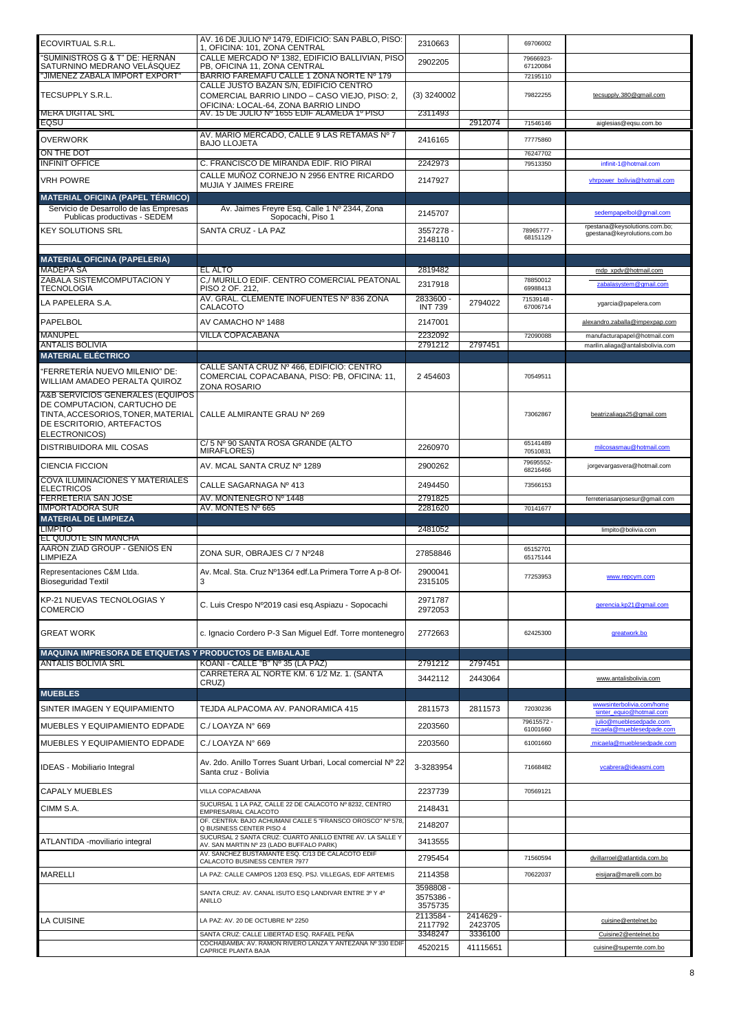| ECOVIRTUAL S.R.L.                                                                                                                                   | AV. 16 DE JULIO Nº 1479. EDIFICIO: SAN PABLO, PISO:<br>1, OFICINA: 101, ZONA CENTRAL                                            | 2310663                           |                      | 69706002               |                                                                   |
|-----------------------------------------------------------------------------------------------------------------------------------------------------|---------------------------------------------------------------------------------------------------------------------------------|-----------------------------------|----------------------|------------------------|-------------------------------------------------------------------|
| "SUMINISTROS G & T" DE: HERNÁN<br>SATURNINO MEDRANO VELÁSQUEZ                                                                                       | CALLE MERCADO Nº 1382, EDIFICIO BALLIVIAN, PISO<br>PB, OFICINA 11, ZONA CENTRAL<br>BARRIO FAREMAFU CALLE 1 ZONA NORTE Nº 179    | 2902205                           |                      | 79666923-<br>67120084  |                                                                   |
| "JIMENEZ ZABALA IMPORT EXPORT<br>TECSUPPLY S.R.L.                                                                                                   | CALLE JUSTO BAZAN S/N, EDIFICIO CENTRO<br>COMERCIAL BARRIO LINDO - CASO VIEJO, PISO: 2,<br>OFICINA: LOCAL-64, ZONA BARRIO LINDO | $(3)$ 3240002                     |                      | 72195110<br>79822255   | tecsupply.380@gmail.com                                           |
| <b>MERA DIGITAL SRL</b><br><b>EQSU</b>                                                                                                              | AV. 15 DE JULIO Nº 1655 EDIF ALAMEDA 1º PISO                                                                                    | 2311493                           | 2912074              | 71546146               | aiglesias@eqsu.com.bo                                             |
| <b>OVERWORK</b>                                                                                                                                     | AV. MARIO MERCADO, CALLE 9 LAS RETAMAS Nº 7                                                                                     | 2416165                           |                      | 77775860               |                                                                   |
| ON THE DOT                                                                                                                                          | <b>BAJO LLOJETA</b>                                                                                                             |                                   |                      | 76247702               |                                                                   |
| <b>INFINIT OFFICE</b>                                                                                                                               | C. FRANCISCO DE MIRANDA EDIF. RIO PIRAI                                                                                         | 2242973                           |                      | 79513350               | infinit-1@hotmail.com                                             |
| VRH POWRE                                                                                                                                           | CALLE MUNOZ CORNEJO N 2956 ENTRE RICARDO<br><b>MUJIA Y JAIMES FREIRE</b>                                                        | 2147927                           |                      |                        | vhrpower_bolivia@hotmail.com                                      |
| <b>MATERIAL OFICINA (PAPEL TÉRMICO)</b>                                                                                                             |                                                                                                                                 |                                   |                      |                        |                                                                   |
| Servicio de Desarrollo de las Empresas<br>Publicas productivas - SEDEM                                                                              | Av. Jaimes Freyre Esq. Calle 1 Nº 2344, Zona<br>Sopocachi, Piso 1                                                               | 2145707                           |                      |                        | sedempapelbol@gmail.com                                           |
| <b>KEY SOLUTIONS SRL</b>                                                                                                                            | SANTA CRUZ - LA PAZ                                                                                                             | 3557278 -<br>2148110              |                      | 78965777 -<br>68151129 | rpestana@keysolutions.com.bo;<br>gpestana@keyrolutions.com.bo     |
| <b>MATERIAL OFICINA (PAPELERIA)</b>                                                                                                                 |                                                                                                                                 |                                   |                      |                        |                                                                   |
| <b>MADEPA SA</b><br>ZABALA SISTEMCOMPUTACION Y                                                                                                      | EL ALTO<br>C./ MURILLO EDIF. CENTRO COMERCIAL PEATONAL                                                                          | 2819482                           |                      | 78850012               | mdp xpdv@hotmail.com                                              |
| <b>TECNOLOGIA</b>                                                                                                                                   | PISO 2 OF. 212,<br>AV. GRAL. CLEMENTE INOFUENTES Nº 836 ZONA                                                                    | 2317918                           |                      | 69988413               | zabalasystem@gmail.com                                            |
| LA PAPELERA S.A.                                                                                                                                    | CALACOTO                                                                                                                        | 2833600 -<br><b>INT 739</b>       | 2794022              | 71539148 -<br>67006714 | ygarcia@papelera.com                                              |
| PAPELBOL                                                                                                                                            | AV CAMACHO Nº 1488                                                                                                              | 2147001                           |                      |                        | alexandro.zaballa@impexpap.com                                    |
| MANUPEL<br><b>ANTALIS BOLIVIA</b>                                                                                                                   | VILLA COPACABANA                                                                                                                | 2232092<br>2791212                | 2797451              | 72090088               | manufacturapapel@hotmail.com<br>marilin.aliaga@antalisbolivia.com |
| <b>MATERIAL ELÉCTRICO</b>                                                                                                                           |                                                                                                                                 |                                   |                      |                        |                                                                   |
| "FERRETERÍA NUEVO MILENIO" DE:<br>WILLIAM AMADEO PERALTA QUIROZ                                                                                     | CALLE SANTA CRUZ Nº 466, EDIFICIO: CENTRO<br>COMERCIAL COPACABANA, PISO: PB, OFICINA: 11,<br>ZONA ROSARIO                       | 2 4 5 4 6 0 3                     |                      | 70549511               |                                                                   |
| A&B SERVICIOS GENERALES (EQUIPOS<br>DE COMPUTACION, CARTUCHO DE<br>TINTA, ACCESORIOS, TONER, MATERIAL<br>DE ESCRITORIO, ARTEFACTOS<br>ELECTRONICOS) | CALLE ALMIRANTE GRAU Nº 269                                                                                                     |                                   |                      | 73062867               | beatrizaliaga25@gmail.com                                         |
| <b>DISTRIBUIDORA MIL COSAS</b>                                                                                                                      | C/ 5 Nº 90 SANTA ROSA GRANDE (ALTO<br><b>MIRAFLORES)</b>                                                                        | 2260970                           |                      | 65141489<br>70510831   | milcosasmau@hotmail.com                                           |
| <b>CIENCIA FICCION</b>                                                                                                                              | AV. MCAL SANTA CRUZ Nº 1289                                                                                                     | 2900262                           |                      | 79695552-<br>68216466  | jorgevargasvera@hotmail.com                                       |
| COVA ILUMINACIONES Y MATERIALES                                                                                                                     | CALLE SAGARNAGA Nº 413                                                                                                          | 2494450                           |                      | 73566153               |                                                                   |
| <b>ELECTRICOS</b><br><b>FERRETERIA SAN JOSE</b>                                                                                                     | AV. MONTENEGRO Nº 1448                                                                                                          | 2791825                           |                      |                        | ferreteriasanjosesur@gmail.com                                    |
|                                                                                                                                                     |                                                                                                                                 |                                   |                      |                        |                                                                   |
| IMPORTADORA SUR                                                                                                                                     | AV. MONTES Nº 665                                                                                                               | 2281620                           |                      | 70141677               |                                                                   |
| <b>MATERIAL DE LIMPIEZA</b><br><b>LIMPITO</b>                                                                                                       |                                                                                                                                 | 2481052                           |                      |                        | limpito@bolivia.com                                               |
| EL QUIJOTE SIN MANCHA<br>AARON ZIAD GROUP - GENIOS EN<br>LIMPIEZA                                                                                   | ZONA SUR. OBRAJES C/ 7 Nº248                                                                                                    | 27858846                          |                      | 65152701<br>65175144   |                                                                   |
| Representaciones C&M Ltda.<br><b>Bioseguridad Textil</b>                                                                                            | Av. Mcal. Sta. Cruz Nº1364 edf.La Primera Torre A p-8 Of-<br>3                                                                  | 2900041<br>2315105                |                      | 77253953               | www.repcym.com                                                    |
| KP-21 NUEVAS TECNOLOGIAS Y<br><b>COMERCIO</b>                                                                                                       | C. Luis Crespo Nº2019 casi esq. Aspiazu - Sopocachi                                                                             | 2971787<br>2972053                |                      |                        | gerencia.kp21@gmail.com                                           |
| <b>GREAT WORK</b>                                                                                                                                   | c. Ignacio Cordero P-3 San Miguel Edf. Torre montenegro                                                                         | 2772663                           |                      | 62425300               | greatwork.bo                                                      |
| MAQUINA IMPRESORA DE ETIQUETAS Y PRODUCTOS DE EMBALAJE                                                                                              |                                                                                                                                 |                                   |                      |                        |                                                                   |
| <b>ANTALIS BOLIVIA SRL</b>                                                                                                                          | KOANI - CALLE "B" Nº 35 (LA PAZ)                                                                                                | 2791212                           | 2797451              |                        |                                                                   |
|                                                                                                                                                     | CARRETERA AL NORTE KM. 6 1/2 Mz. 1. (SANTA<br>CRUZ)                                                                             | 3442112                           | 2443064              |                        | www.antalisbolivia.com                                            |
| <b>MUEBLES</b>                                                                                                                                      |                                                                                                                                 |                                   |                      |                        |                                                                   |
| SINTER IMAGEN Y EQUIPAMIENTO                                                                                                                        | TEJDA ALPACOMA AV. PANORAMICA 415                                                                                               | 2811573                           | 2811573              | 72030236               | wwwsinterbolivia.com/home<br>sinter equio@hotmail.com             |
| MUEBLES Y EQUIPAMIENTO EDPADE                                                                                                                       | C./ LOAYZA N° 669                                                                                                               | 2203560                           |                      | 79615572 -<br>61001660 | julio@mueblesedpade.com<br>micaela@mueblesedpade.com              |
| MUEBLES Y EQUIPAMIENTO EDPADE                                                                                                                       | C./ LOAYZA N° 669                                                                                                               | 2203560                           |                      | 61001660               | micaela@mueblesedpade.com                                         |
| IDEAS - Mobiliario Integral                                                                                                                         | Av. 2do. Anillo Torres Suant Urbari, Local comercial Nº 22<br>Santa cruz - Bolivia                                              | 3-3283954                         |                      | 71668482               | vcabrera@ideasmi.com                                              |
| CAPALY MUEBLES                                                                                                                                      | VILLA COPACABANA                                                                                                                | 2237739                           |                      | 70569121               |                                                                   |
| CIMM S.A.                                                                                                                                           | SUCURSAL 1 LA PAZ, CALLE 22 DE CALACOTO Nº 8232, CENTRO<br>EMPRESARIAL CALACOTO                                                 | 2148431                           |                      |                        |                                                                   |
|                                                                                                                                                     | OF. CENTRA: BAJO ACHUMANI CALLE 5 "FRANSCO OROSCO" Nº 578<br>Q BUSINESS CENTER PISO 4                                           | 2148207                           |                      |                        |                                                                   |
| ATLANTIDA - moviliario integral                                                                                                                     | SUCURSAL 2 SANTA CRUZ: CUARTO ANILLO ENTRE AV. LA SALLE Y<br>AV. SAN MARTIN Nº 23 (LADO BUFFALO PARK)                           | 3413555                           |                      |                        |                                                                   |
|                                                                                                                                                     | AV. SANCHEZ BUSTAMANTE ESQ. C/13 DE CALACOTO EDIF<br>CALACOTO BUSINESS CENTER 7977                                              | 2795454                           |                      | 71560594               | dvillarroel@atlantida.com.bo                                      |
| MARELLI                                                                                                                                             | LA PAZ: CALLE CAMPOS 1203 ESQ. PSJ. VILLEGAS, EDF ARTEMIS                                                                       | 2114358                           |                      | 70622037               | eisijara@marelli.com.bo                                           |
|                                                                                                                                                     | SANTA CRUZ: AV. CANAL ISUTO ESQ LANDIVAR ENTRE 3º Y 4º<br>ANILLO                                                                | 3598808 -<br>3575386 -<br>3575735 |                      |                        |                                                                   |
| LA CUISINE                                                                                                                                          | LA PAZ: AV. 20 DE OCTUBRE Nº 2250                                                                                               | 2113584 -<br>2117792              | 2414629 -<br>2423705 |                        | cuisine@entelnet.bo                                               |
|                                                                                                                                                     | SANTA CRUZ: CALLE LIBERTAD ESQ. RAFAEL PEÑA<br>COCHABAMBA: AV. RAMON RIVERO LANZA Y ANTEZANA Nº 330 EDIF                        | 3348247<br>4520215                | 3336100<br>41115651  |                        | Cuisine2@entelnet.bo<br>cuisine@supernte.com.bo                   |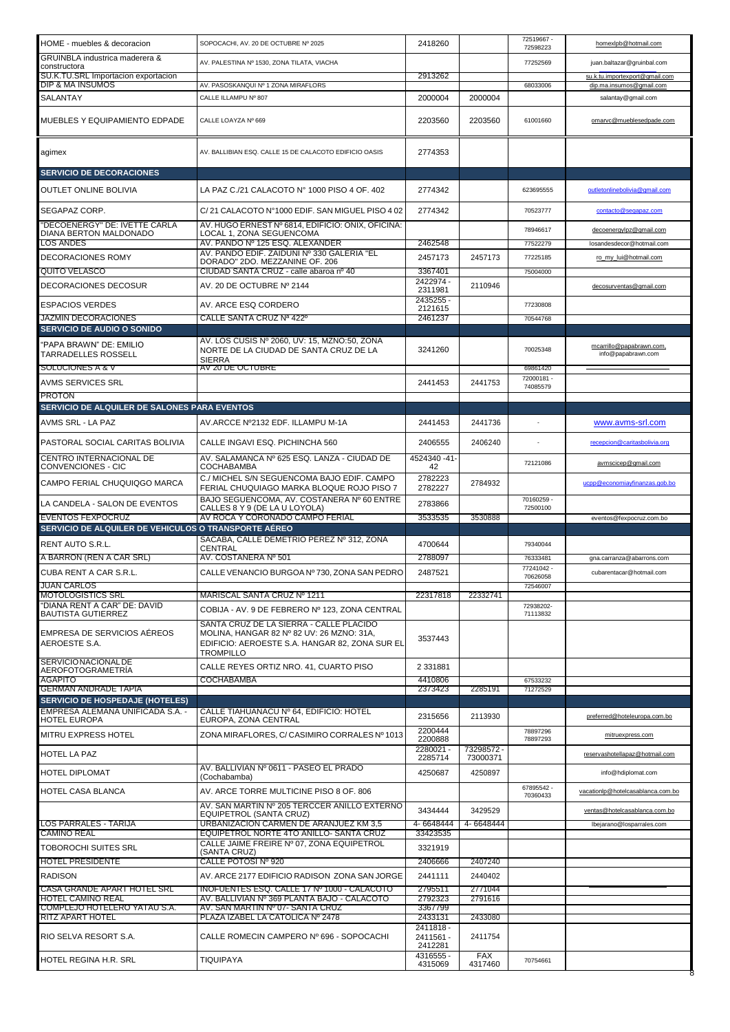| HOME - muebles & decoracion                             | SOPOCACHI, AV. 20 DE OCTUBRE Nº 2025                                                                                                                       | 2418260                                      |                       | 72519667 -<br>72598223 | homexlpb@hotmail.com                           |
|---------------------------------------------------------|------------------------------------------------------------------------------------------------------------------------------------------------------------|----------------------------------------------|-----------------------|------------------------|------------------------------------------------|
| GRUINBLA industrica maderera &<br>constructora          | AV. PALESTINA Nº 1530, ZONA TILATA, VIACHA                                                                                                                 |                                              |                       | 77252569               | juan.baltazar@gruinbal.com                     |
| SU.K.TU.SRL Importacion exportacion                     |                                                                                                                                                            | 2913262                                      |                       |                        | su.k.tu.importexport@gmail.com                 |
| DIP & MA INSUMOS<br>SALANTAY                            | AV. PASOSKANQUI Nº 1 ZONA MIRAFLORS<br>CALLE ILLAMPU Nº 807                                                                                                | 2000004                                      | 2000004               | 68033006               | dip.ma.insumos@gmail.com<br>salantay@gmail.com |
|                                                         |                                                                                                                                                            |                                              |                       |                        |                                                |
| MUEBLES Y EQUIPAMIENTO EDPADE                           | CALLE LOAYZA Nº 669                                                                                                                                        | 2203560                                      | 2203560               | 61001660               | omarvc@mueblesedpade.com                       |
| agimex                                                  | AV. BALLIBIAN ESQ. CALLE 15 DE CALACOTO EDIFICIO OASIS                                                                                                     | 2774353                                      |                       |                        |                                                |
| <b>SERVICIO DE DECORACIONES</b>                         |                                                                                                                                                            |                                              |                       |                        |                                                |
| <b>OUTLET ONLINE BOLIVIA</b>                            | LA PAZ C./21 CALACOTO N° 1000 PISO 4 OF, 402                                                                                                               | 2774342                                      |                       | 623695555              | outletonlinebolivia@gmail.com                  |
| SEGAPAZ CORP.                                           | C/21 CALACOTO N°1000 EDIF. SAN MIGUEL PISO 402                                                                                                             | 2774342                                      |                       | 70523777               | contacto@segapaz.com                           |
| "DECOENERGY" DE: IVETTE CARLA<br>DIANA BERTON MALDONADO | AV. HUGO ERNEST Nº 6814, EDIFICIO: ONIX, OFICINA:<br>LOCAL 1, ZONA SEGUENCOMA                                                                              |                                              |                       | 78946617               | decoenergylpz@gmail.com                        |
| LOS ANDES                                               | AV. PANDO Nº 125 ESQ. ALEXANDER<br>AV. PANDO EDIF. ZAIDUNI Nº 330 GALERIA "EL                                                                              | 2462548                                      |                       | 77522279               | losandesdecor@hotmail.com                      |
| <b>DECORACIONES ROMY</b><br>QUITO VELASCO               | DORADO" 2DO. MEZZANINE OF. 206<br>CIUDAD SANTA CRUZ - calle abaroa nº 40                                                                                   | 2457173<br>3367401                           | 2457173               | 77225185<br>75004000   | ro my lui@hotmail.com                          |
| <b>DECORACIONES DECOSUR</b>                             | AV. 20 DE OCTUBRE Nº 2144                                                                                                                                  | 2422974 -<br>2311981                         | 2110946               |                        | decosurventas@gmail.com                        |
| <b>ESPACIOS VERDES</b>                                  | AV. ARCE ESQ CORDERO                                                                                                                                       | 2435255 -                                    |                       | 77230808               |                                                |
| <b>JAZMIN DECORACIONES</b>                              | CALLE SANTA CRUZ Nª 422º                                                                                                                                   | 2121615<br>2461237                           |                       | 70544768               |                                                |
| <b>SERVICIO DE AUDIO O SONIDO</b>                       |                                                                                                                                                            |                                              |                       |                        |                                                |
| "PAPA BRAWN" DE: EMILIO<br><b>TARRADELLES ROSSELL</b>   | AV. LOS CUSIS Nº 2060, UV: 15, MZNO:50, ZONA<br>NORTE DE LA CIUDAD DE SANTA CRUZ DE LA<br><b>SIERRA</b>                                                    | 3241260                                      |                       | 70025348               | mcarrillo@papabrawn.com,<br>info@papabrawn.com |
| <b>SOLUCIONES A &amp; V</b><br>AVMS SERVICES SRL        | AV 20 DE OCTUBRE                                                                                                                                           | 2441453                                      | 2441753               | 69861420<br>72000181 - |                                                |
| <b>PROTON</b>                                           |                                                                                                                                                            |                                              |                       | 74085579               |                                                |
| SERVICIO DE ALQUILER DE SALONES PARA EVENTOS            |                                                                                                                                                            |                                              |                       |                        |                                                |
| AVMS SRL - LA PAZ                                       | AV.ARCCE Nº2132 EDF. ILLAMPU M-1A                                                                                                                          | 2441453                                      | 2441736               |                        | www.avms-srl.com                               |
| PASTORAL SOCIAL CARITAS BOLIVIA                         | CALLE INGAVI ESQ. PICHINCHA 560                                                                                                                            | 2406555                                      | 2406240               |                        | recepcion@caritasbolivia.org                   |
| CENTRO INTERNACIONAL DE<br>CONVENCIONES - CIC           | AV. SALAMANCA Nº 625 ESQ. LANZA - CIUDAD DE<br><b>COCHABAMBA</b>                                                                                           | 4524340 -41-<br>42                           |                       | 72121086               | avmscicep@gmail.com                            |
| CAMPO FERIAL CHUQUIQGO MARCA                            | C./ MICHEL S/N SEGUENCOMA BAJO EDIF. CAMPO<br>FERIAL CHUQUIAGO MARKA BLOQUE ROJO PISO 7                                                                    | 2782223<br>2782227                           | 2784932               |                        | ucpp@economiayfinanzas.gob.bo                  |
|                                                         |                                                                                                                                                            |                                              |                       |                        |                                                |
| LA CANDELA - SALON DE EVENTOS                           | BAJO SEGUENCOMA, AV. COSTANERA Nº 60 ENTRE                                                                                                                 | 2783866                                      |                       | 70160259 -<br>72500100 |                                                |
| <b>EVENTOS FEXPOCRUZ</b>                                | CALLES 8 Y 9 (DE LA U LOYOLA)<br>AV ROCA Y CORONADO CAMPO FERIAL                                                                                           | 3533535                                      | 3530888               |                        | eventos@fexpocruz.com.bo                       |
| SERVICIO DE ALQUILER DE VEHICULOS O TRANSPORTE AÉREO    |                                                                                                                                                            |                                              |                       |                        |                                                |
| <b>RENT AUTO S.R.L.</b>                                 | SACABA, CALLE DEMETRIO PEREZ Nº 312, ZONA<br>CENTRAL                                                                                                       | 4700644                                      |                       | 79340044               |                                                |
| A BARRON (REN A CAR SRL)                                | AV. COSTANERA Nº 501                                                                                                                                       | 2788097                                      |                       | 76333481<br>77241042 - | gna.carranza@abarrons.com                      |
| CUBA RENT A CAR S.R.L.                                  | CALLE VENANCIO BURGOA Nº 730, ZONA SAN PEDRO                                                                                                               | 2487521                                      |                       | 70626058               | cubarentacar@hotmail.com                       |
| <b>JUAN CARLOS</b><br>MOTOLOGISTICS SRL                 | MARISCAL SANTA CRUZ Nº 1211                                                                                                                                | 22317818                                     | 22332741              | 72546007               |                                                |
| "DIANA RENT A CAR" DE: DAVID<br>BAUTISTA GUTIERREZ      | COBIJA - AV. 9 DE FEBRERO Nº 123, ZONA CENTRAL                                                                                                             |                                              |                       | 72938202-<br>71113832  |                                                |
| EMPRESA DE SERVICIOS AÉREOS<br>AEROESTE S.A.            | SANTA CRUZ DE LA SIERRA - CALLE PLACIDO<br>MOLINA, HANGAR 82 Nº 82 UV: 26 MZNO: 31A,<br>EDIFICIO: AEROESTE S.A. HANGAR 82, ZONA SUR EL<br><b>TROMPILLO</b> | 3537443                                      |                       |                        |                                                |
| <b>SERVICIONACIONALDE</b><br>AEROFOTOGRAMETRÍA          | CALLE REYES ORTIZ NRO. 41, CUARTO PISO                                                                                                                     | 2 3 3 1 8 8 1                                |                       |                        |                                                |
| AGAPITO<br>GERMAN ANDRADE TAPIA                         | COCHABAMBA                                                                                                                                                 | 4410806<br>2373423                           | 2285191               | 67533232<br>71272529   |                                                |
| <b>SERVICIO DE HOSPEDAJE (HOTELES)</b>                  |                                                                                                                                                            |                                              |                       |                        |                                                |
| EMPRESA ALEMANA UNIFICADA S.A. -<br>HOTEL EUROPA        | CALLE TIAHUANACU Nº 64, EDIFICIO: HOTEL<br>EUROPA. ZONA CENTRAL                                                                                            | 2315656                                      | 2113930               |                        | preferred@hoteleuropa.com.bo                   |
| MITRU EXPRESS HOTEL                                     | ZONA MIRAFLORES, C/ CASIMIRO CORRALES Nº 1013                                                                                                              | 2200444<br>2200888                           |                       | 78897296<br>78897293   | mitruexpress.com                               |
| HOTEL LA PAZ                                            |                                                                                                                                                            | 2280021 -<br>2285714                         | 73298572-<br>73000371 |                        | reservashotellapaz@hotmail.com                 |
| HOTEL DIPLOMAT                                          | AV. BALLIVIAN Nº 0611 - PASEO EL PRADO<br>(Cochabamba)                                                                                                     | 4250687                                      | 4250897               |                        | info@hdiplomat.com                             |
| HOTEL CASA BLANCA                                       | AV. ARCE TORRE MULTICINE PISO 8 OF. 806                                                                                                                    |                                              |                       | 67895542 -<br>70360433 | vacationlp@hotelcasablanca.com.bo              |
|                                                         | AV. SAN MARTIN Nº 205 TERCCER ANILLO EXTERNO<br>EQUIPETROL (SANTA CRUZ)                                                                                    | 3434444                                      | 3429529               |                        | ventas@hotelcasablanca.com.bo                  |
| LOS PARRALES - TARIJA                                   | URBANIZACION CARMEN DE ARANJUEZ KM 3,5                                                                                                                     | 4-6648444                                    | 4-6648444             |                        | Ibejarano@losparrales.com                      |
| CAMINO REAL<br>TOBOROCHI SUITES SRL                     | EQUIPETROL NORTE 4TO ANILLO- SANTA CRUZ<br>CALLE JAIME FREIRE Nº 07, ZONA EQUIPETROL                                                                       | 33423535<br>3321919                          |                       |                        |                                                |
| <b>HOTEL PRESIDENTE</b>                                 | (SANTA CRUZ)<br>CALLE POTOSI Nº 920                                                                                                                        | 2406666                                      | 2407240               |                        |                                                |
| RADISON                                                 | AV. ARCE 2177 EDIFICIO RADISON ZONA SAN JORGE                                                                                                              | 2441111                                      | 2440402               |                        |                                                |
| CASA GRANDE APART HOTEL SRL                             | INOFUENTES ESQ. CALLE 17 Nº 1000 - CALACOTO                                                                                                                | 2795511                                      | 2771044               |                        |                                                |
| HOTEL CAMINO REAL<br>COMPLEJO HOTELERO YATAU S.A.       | AV. BALLIVIAN Nº 369 PLANTA BAJO - CALACOTO<br>AV. SAN MARTIN Nº 07- SANTA CRUZ                                                                            | 2792323<br>3367799                           | 2791616               |                        |                                                |
| RITZ APART HOTEL                                        | PLAZA IZABEL LA CATOLICA Nº 2478                                                                                                                           | 2433131                                      | 2433080               |                        |                                                |
| RIO SELVA RESORT S.A.                                   | CALLE ROMECIN CAMPERO Nº 696 - SOPOCACHI                                                                                                                   | 2411818-<br>2411561 -<br>2412281<br>4316555- | 2411754<br><b>FAX</b> |                        |                                                |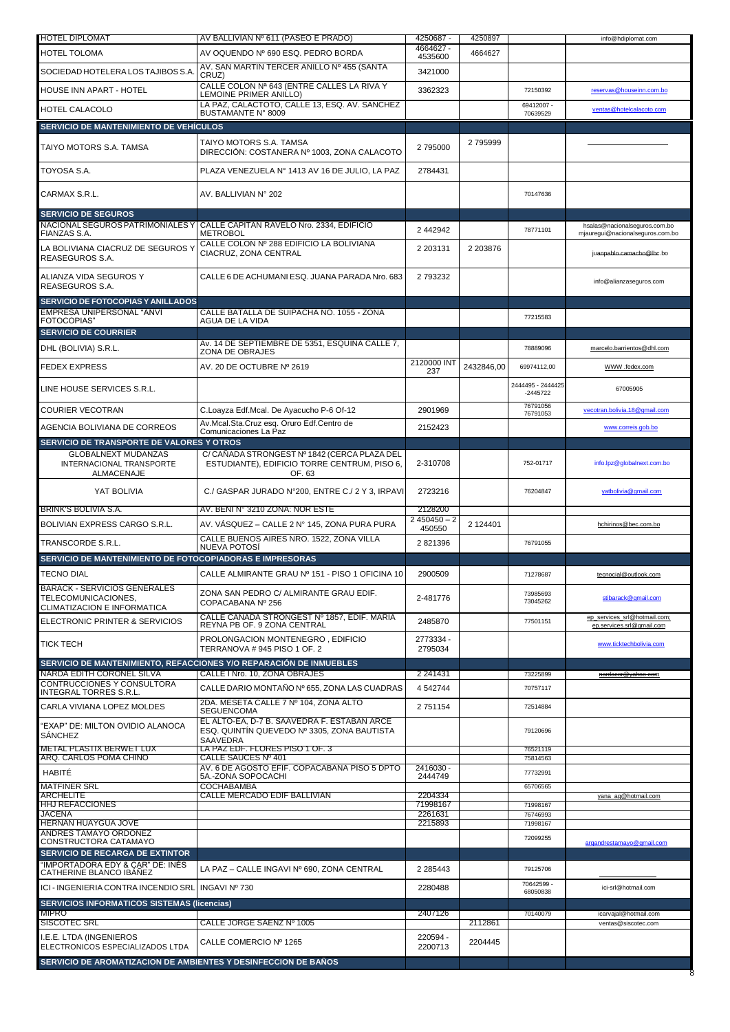| <b>HOTEL DIPLOMAT</b>                                                                     | AV BALLIVIAN Nº 611 (PASEO E PRADO)                                                                   | 4250687 -                           | 4250897    |                                 | info@hdiplomat.com                                                |
|-------------------------------------------------------------------------------------------|-------------------------------------------------------------------------------------------------------|-------------------------------------|------------|---------------------------------|-------------------------------------------------------------------|
| <b>HOTEL TOLOMA</b>                                                                       | AV OQUENDO Nº 690 ESQ. PEDRO BORDA                                                                    | 4664627 -<br>4535600                | 4664627    |                                 |                                                                   |
| SOCIEDAD HOTELERA LOS TAJIBOS S.A.                                                        | AV. SAN MARTIN TERCER ANILLO Nº 455 (SANTA                                                            | 3421000                             |            |                                 |                                                                   |
| HOUSE INN APART - HOTEL                                                                   | CRUZ)<br>CALLE COLON Nª 643 (ENTRE CALLES LA RIVA Y<br>LEMOINE PRIMER ANILLO)                         | 3362323                             |            | 72150392                        | reservas@houseinn.com.bo                                          |
| HOTEL CALACOLO                                                                            | LA PAZ, CALACTOTO, CALLE 13, ESQ. AV. SANCHEZ                                                         |                                     |            | 69412007 -                      | ventas@hotelcalacoto.com                                          |
| SERVICIO DE MANTENIMIENTO DE VEHÍCULOS                                                    | BUSTAMANTE N° 8009                                                                                    |                                     |            | 70639529                        |                                                                   |
|                                                                                           |                                                                                                       |                                     |            |                                 |                                                                   |
| TAIYO MOTORS S.A. TAMSA                                                                   | TAIYO MOTORS S.A. TAMSA<br>DIRECCIÓN: COSTANERA Nº 1003, ZONA CALACOTO                                | 2795000                             | 2795999    |                                 |                                                                   |
| TOYOSA S.A.                                                                               | PLAZA VENEZUELA Nº 1413 AV 16 DE JULIO, LA PAZ                                                        | 2784431                             |            |                                 |                                                                   |
| CARMAX S.R.L.                                                                             | AV. BALLIVIAN Nº 202                                                                                  |                                     |            | 70147636                        |                                                                   |
| <b>SERVICIO DE SEGUROS</b><br>NACIONAL SEGUROS PATRIMONIALES Y<br>FIANZAS S.A.            | CALLE CAPITAN RAVELO Nro. 2334, EDIFICIO<br><b>METROBOL</b>                                           | 2 442942                            |            | 78771101                        | hsalas@nacionalseguros.com.bo<br>mjauregui@nacionalseguros.com.bo |
| LA BOLIVIANA CIACRUZ DE SEGUROS Y<br>REASEGUROS S.A.                                      | CALLE COLON Nº 288 EDIFICIO LA BOLIVIANA<br>CIACRUZ, ZONA CENTRAL                                     | 2 203131                            | 2 203876   |                                 | juannablo camacho@lhc.bo                                          |
| ALIANZA VIDA SEGUROS Y<br><b>REASEGUROS S.A.</b>                                          | CALLE 6 DE ACHUMANI ESQ. JUANA PARADA Nro. 683                                                        | 2793232                             |            |                                 | info@alianzaseguros.com                                           |
| <b>SERVICIO DE FOTOCOPIAS Y ANILLADOS</b>                                                 |                                                                                                       |                                     |            |                                 |                                                                   |
| EMPRESA UNIPERSONAL "ANVI<br>FOTOCOPIAS"                                                  | CALLE BATALLA DE SUIPACHA NO. 1055 - ZONA<br>AGUA DE LA VIDA                                          |                                     |            | 77215583                        |                                                                   |
| <b>SERVICIO DE COURRIER</b>                                                               |                                                                                                       |                                     |            |                                 |                                                                   |
| DHL (BOLIVIA) S.R.L.                                                                      | Av. 14 DE SEPTIEMBRE DE 5351, ESQUINA CALLE 7.<br>ZONA DE OBRAJES                                     |                                     |            | 78889096                        | marcelo.barrientos@dhl.com                                        |
| <b>FEDEX EXPRESS</b>                                                                      | AV. 20 DE OCTUBRE Nº 2619                                                                             | 2120000 INT<br>237                  | 2432846,00 | 69974112.00                     | WWW .fedex.com                                                    |
| LINE HOUSE SERVICES S.R.L.                                                                |                                                                                                       |                                     |            | 2444495 - 2444425<br>$-2445722$ | 67005905                                                          |
| COURIER VECOTRAN                                                                          | C.Loayza Edf.Mcal. De Ayacucho P-6 Of-12                                                              | 2901969                             |            | 76791056<br>76791053            | vecotran.bolivia.18@gmail.com                                     |
| AGENCIA BOLIVIANA DE CORREOS                                                              | Av.Mcal.Sta.Cruz esg. Oruro Edf.Centro de<br>Comunicaciones La Paz                                    | 2152423                             |            |                                 | www.correis.gob.bo                                                |
| SERVICIO DE TRANSPORTE DE VALORES Y OTROS                                                 |                                                                                                       |                                     |            |                                 |                                                                   |
| <b>GLOBALNEXT MUDANZAS</b><br>INTERNACIONAL TRANSPORTE<br>ALMACENAJE                      | C/CANADA STRONGEST Nº 1842 (CERCA PLAZA DEL<br>ESTUDIANTE), EDIFICIO TORRE CENTRUM, PISO 6,<br>OF. 63 | 2-310708                            |            | 752-01717                       | info.lpz@globalnext.com.bo                                        |
| YAT BOLIVIA                                                                               | C./ GASPAR JURADO N°200, ENTRE C./ 2 Y 3, IRPAVI                                                      | 2723216                             |            | 76204847                        | yatbolivia@gmail.com                                              |
| BRINK'S BOLIVIA S.A.                                                                      | AV. BENI Nº 3210 ZONA: NOR ESTE                                                                       | 2128200<br>$\overline{2450450} - 2$ |            |                                 |                                                                   |
| BOLIVIAN EXPRESS CARGO S.R.L.                                                             | AV. VÁSQUEZ – CALLE 2 Nº 145, ZONA PURA PURA                                                          | 450550                              | 2 124401   |                                 | hchirinos@bec.com.bo                                              |
| TRANSCORDE S.R.L.                                                                         | CALLE BUENOS AIRES NRO. 1522, ZONA VILLA<br><b>NUEVA POTOS</b>                                        | 2821396                             |            | 76791055                        |                                                                   |
| SERVICIO DE MANTENIMIENTO DE FOTOCOPIADORAS E IMPRESORAS                                  |                                                                                                       |                                     |            |                                 |                                                                   |
| TECNO DIAL                                                                                | CALLE ALMIRANTE GRAU Nº 151 - PISO 1 OFICINA 10                                                       | 2900509                             |            | 71278687                        | tecnocial@outlook.com                                             |
| <b>BARACK - SERVICIOS GENERALES</b><br>TELECOMUNICACIONES,<br>CLIMATIZACION E INFORMATICA | ZONA SAN PEDRO C/ ALMIRANTE GRAU EDIF.<br>COPACABANA Nº 256                                           | 2-481776                            |            | 73985693<br>73045262            | stibarack@gmail.com                                               |
| ELECTRONIC PRINTER & SERVICIOS                                                            | CALLE CANADA STRONGEST Nº 1857, EDIF. MARIA<br>REYNA PB OF. 9 ZONA CENTRAL                            | 2485870                             |            | 77501151                        | ep services srl@hotmail.com;<br>ep.services.srl@gmail.com         |
| <b>TICK TECH</b>                                                                          | PROLONGACION MONTENEGRO, EDIFICIO<br>TERRANOVA # 945 PISO 1 OF. 2                                     | 2773334 -<br>2795034                |            |                                 | www.ticktechbolivia.com                                           |
|                                                                                           | SERVICIO DE MANTENIMIENTO, REFACCIONES Y/O REPARACIÓN DE INMUEBLES                                    |                                     |            |                                 |                                                                   |
| NARDA EDITH CORONEL SILVA<br>CONTRUCCIONES Y CONSULTORA                                   | CALLE I Nro. 10, ZONA OBRAJES                                                                         | 2 241431                            |            | 73225899                        | <del>nardacor@yahoo.com</del>                                     |
| INTEGRAL TORRES S.R.L.                                                                    | CALLE DARIO MONTAÑO Nº 655, ZONA LAS CUADRAS<br>2DA. MESETA CALLE 7 Nº 104, ZONA ALTO                 | 4542744                             |            | 70757117                        |                                                                   |
| CARLA VIVIANA LOPEZ MOLDES                                                                | <b>SEGUENCOMA</b><br>EL ALTO-EA, D-7 B. SAAVEDRA F. ESTABAN ARCE                                      | 2751154                             |            | 72514884                        |                                                                   |
| 'EXAP" DE: MILTON OVIDIO ALANOCA<br><b>SÁNCHEZ</b>                                        | ESQ. QUINTIN QUEVEDO Nº 3305, ZONA BAUTISTA<br>SAAVEDRA                                               |                                     |            | 79120696                        |                                                                   |
| <b>METAL PLASTIX BERWET LUX</b><br>ARQ. CARLOS POMA CHINO                                 | LA PAZ EDF. FLORES PISO 1 OF. 3<br>CALLE SAUCES Nº 401                                                |                                     |            | 76521119<br>75814563            |                                                                   |
| HABITÉ                                                                                    | AV. 6 DE AGOSTO EFIF. COPACABANA PISO 5 DPTO<br>5A - ZONA SOPOCACHI                                   | 2416030 -<br>2444749                |            | 77732991                        |                                                                   |
| <b>MATFINER SRL</b><br><b>ARCHELITE</b>                                                   | <b>COCHABAMBA</b><br>CALLE MERCADO EDIF BALLIVIAN                                                     | 2204334                             |            | 65706565                        |                                                                   |
| <b>HHJ REFACCIONES</b>                                                                    |                                                                                                       | 71998167                            |            | 71998167                        | yana_ag@hotmail.com                                               |
| <b>JACENA</b><br>HERNAN HUAYGUA JOVE                                                      |                                                                                                       | 2261631<br>2215893                  |            | 76746993<br>71998167            |                                                                   |
| <b>ANDRES TAMAYO ORDONEZ</b>                                                              |                                                                                                       |                                     |            | 72099255                        |                                                                   |
| CONSTRUCTORA CATAMAYO<br><b>SERVICIO DE RECARGA DE EXTINTOR</b>                           |                                                                                                       |                                     |            |                                 | argandrestamayo@gmail.com                                         |
| 'IMPORTADORA EDY & CAR" DE: INÉS<br>CATHERINE BLANCO IBANEZ                               | LA PAZ - CALLE INGAVI Nº 690, ZONA CENTRAL                                                            | 2 2 8 5 4 4 3                       |            | 79125706                        |                                                                   |
| ICI - INGENIERIA CONTRA INCENDIO SRL                                                      | INGAVI Nº 730                                                                                         | 2280488                             |            | 70642599 -<br>68050838          | ici-srl@hotmail.com                                               |
| <b>SERVICIOS INFORMATICOS SISTEMAS (licencias)</b>                                        |                                                                                                       |                                     |            |                                 |                                                                   |
| <b>MIPRO</b><br><b>SISCOTEC SRL</b>                                                       | CALLE JORGE SAENZ Nº 1005                                                                             | 2407126                             | 2112861    | 70140079                        | icarvajal@hotmail.com<br>ventas@siscotec.com                      |
| I.E.E. LTDA (INGENIEROS<br>ELECTRONICOS ESPECIALIZADOS LTDA                               | CALLE COMERCIO Nº 1265                                                                                | 220594 -<br>2200713                 | 2204445    |                                 |                                                                   |
| SERVICIO DE AROMATIZACION DE AMBIENTES Y DESINFECCION DE BAÑOS                            |                                                                                                       |                                     |            |                                 |                                                                   |
|                                                                                           |                                                                                                       |                                     |            |                                 |                                                                   |